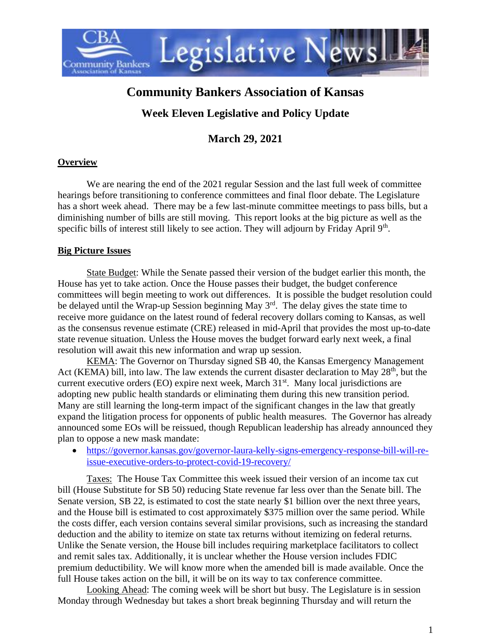

# **Community Bankers Association of Kansas**

## **Week Eleven Legislative and Policy Update**

### **March 29, 2021**

#### **Overview**

We are nearing the end of the 2021 regular Session and the last full week of committee hearings before transitioning to conference committees and final floor debate. The Legislature has a short week ahead. There may be a few last-minute committee meetings to pass bills, but a diminishing number of bills are still moving. This report looks at the big picture as well as the specific bills of interest still likely to see action. They will adjourn by Friday April 9<sup>th</sup>.

#### **Big Picture Issues**

State Budget: While the Senate passed their version of the budget earlier this month, the House has yet to take action. Once the House passes their budget, the budget conference committees will begin meeting to work out differences. It is possible the budget resolution could be delayed until the Wrap-up Session beginning May  $3<sup>rd</sup>$ . The delay gives the state time to receive more guidance on the latest round of federal recovery dollars coming to Kansas, as well as the consensus revenue estimate (CRE) released in mid-April that provides the most up-to-date state revenue situation. Unless the House moves the budget forward early next week, a final resolution will await this new information and wrap up session.

KEMA: The Governor on Thursday signed SB 40, the Kansas Emergency Management Act (KEMA) bill, into law. The law extends the current disaster declaration to May  $28<sup>th</sup>$ , but the current executive orders (EO) expire next week, March  $31<sup>st</sup>$ . Many local jurisdictions are adopting new public health standards or eliminating them during this new transition period. Many are still learning the long-term impact of the significant changes in the law that greatly expand the litigation process for opponents of public health measures. The Governor has already announced some EOs will be reissued, though Republican leadership has already announced they plan to oppose a new mask mandate:

• [https://governor.kansas.gov/governor-laura-kelly-signs-emergency-response-bill-will-re](https://governor.kansas.gov/governor-laura-kelly-signs-emergency-response-bill-will-re-issue-executive-orders-to-protect-covid-19-recovery/)[issue-executive-orders-to-protect-covid-19-recovery/](https://governor.kansas.gov/governor-laura-kelly-signs-emergency-response-bill-will-re-issue-executive-orders-to-protect-covid-19-recovery/)

Taxes: The House Tax Committee this week issued their version of an income tax cut bill (House Substitute for SB 50) reducing State revenue far less over than the Senate bill. The Senate version, SB 22, is estimated to cost the state nearly \$1 billion over the next three years, and the House bill is estimated to cost approximately \$375 million over the same period. While the costs differ, each version contains several similar provisions, such as increasing the standard deduction and the ability to itemize on state tax returns without itemizing on federal returns. Unlike the Senate version, the House bill includes requiring marketplace facilitators to collect and remit sales tax. Additionally, it is unclear whether the House version includes FDIC premium deductibility. We will know more when the amended bill is made available. Once the full House takes action on the bill, it will be on its way to tax conference committee.

Looking Ahead: The coming week will be short but busy. The Legislature is in session Monday through Wednesday but takes a short break beginning Thursday and will return the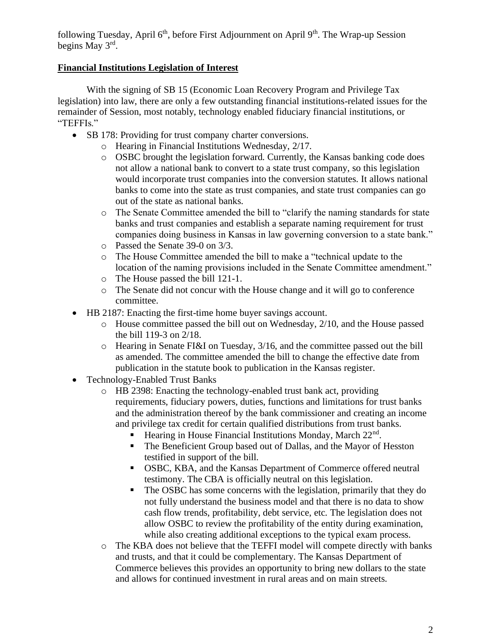following Tuesday, April  $6<sup>th</sup>$ , before First Adjournment on April  $9<sup>th</sup>$ . The Wrap-up Session begins May 3<sup>rd</sup>.

### **Financial Institutions Legislation of Interest**

With the signing of SB 15 (Economic Loan Recovery Program and Privilege Tax legislation) into law, there are only a few outstanding financial institutions-related issues for the remainder of Session, most notably, technology enabled fiduciary financial institutions, or "TEFFIs."

- SB 178: Providing for trust company charter conversions.
	- o Hearing in Financial Institutions Wednesday, 2/17.
	- o OSBC brought the legislation forward. Currently, the Kansas banking code does not allow a national bank to convert to a state trust company, so this legislation would incorporate trust companies into the conversion statutes. It allows national banks to come into the state as trust companies, and state trust companies can go out of the state as national banks.
	- o The Senate Committee amended the bill to "clarify the naming standards for state banks and trust companies and establish a separate naming requirement for trust companies doing business in Kansas in law governing conversion to a state bank."
	- o Passed the Senate 39-0 on 3/3.
	- o The House Committee amended the bill to make a "technical update to the location of the naming provisions included in the Senate Committee amendment."
	- o The House passed the bill 121-1.
	- o The Senate did not concur with the House change and it will go to conference committee.
- HB 2187: Enacting the first-time home buyer savings account.
	- o House committee passed the bill out on Wednesday, 2/10, and the House passed the bill 119-3 on 2/18.
	- o Hearing in Senate FI&I on Tuesday, 3/16, and the committee passed out the bill as amended. The committee amended the bill to change the effective date from publication in the statute book to publication in the Kansas register.
- Technology-Enabled Trust Banks
	- o HB 2398: Enacting the technology-enabled trust bank act, providing requirements, fiduciary powers, duties, functions and limitations for trust banks and the administration thereof by the bank commissioner and creating an income and privilege tax credit for certain qualified distributions from trust banks.
		- **Example 1** Hearing in House Financial Institutions Monday, March  $22<sup>nd</sup>$ .
		- The Beneficient Group based out of Dallas, and the Mayor of Hesston testified in support of the bill.
		- OSBC, KBA, and the Kansas Department of Commerce offered neutral testimony. The CBA is officially neutral on this legislation.
		- The OSBC has some concerns with the legislation, primarily that they do not fully understand the business model and that there is no data to show cash flow trends, profitability, debt service, etc. The legislation does not allow OSBC to review the profitability of the entity during examination, while also creating additional exceptions to the typical exam process.
	- o The KBA does not believe that the TEFFI model will compete directly with banks and trusts, and that it could be complementary. The Kansas Department of Commerce believes this provides an opportunity to bring new dollars to the state and allows for continued investment in rural areas and on main streets.